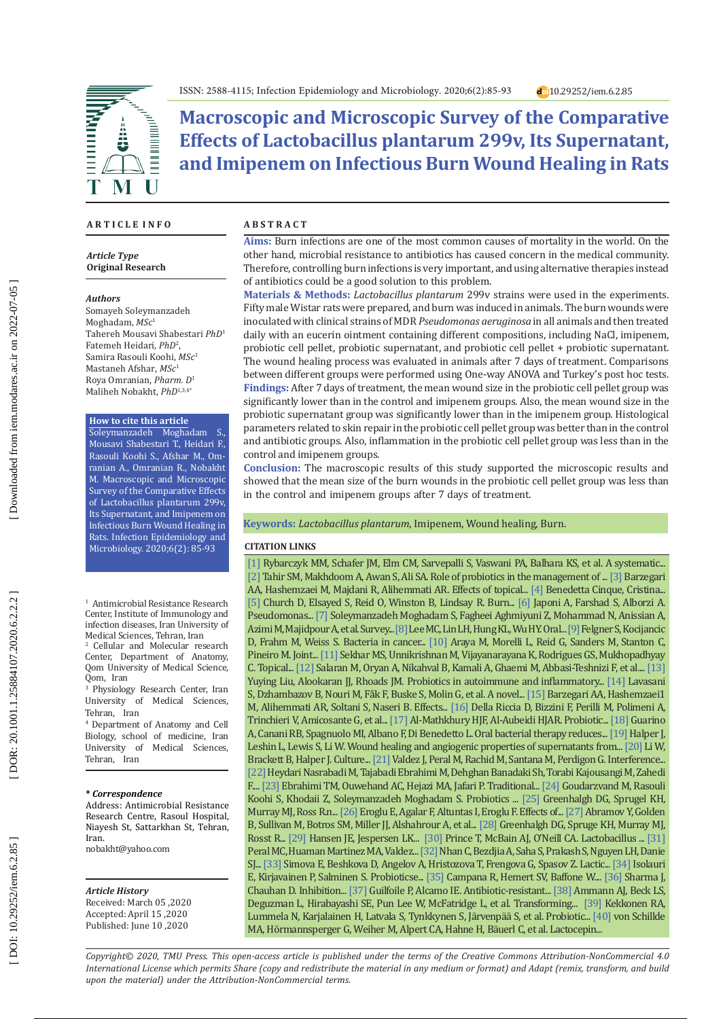**Macroscopic and Microscopic Survey of the Comparative Effects of Lactobacillus plantarum 299v, Its Supernatant, and Imipenem on Infectious Burn Wound Healing in Rats**

### **A R T I C L E I N F O**

Â

M

*Article Type* **Original Research**

#### *Authors*

**EXPERIENCE** 

 $\bar{\mathbf{I}}$ 

Somayeh Soleymanzadeh Moghadam, *MSc* 1 Tahereh Mousavi Shabestari *PhD* 1 Fatemeh Heidari, *PhD* 2 , Samira Rasouli Koohi, *MSc* 1 Mastaneh Afshar, *MSc* 1 Roya Omranian, *Pharm. D* 1 Maliheh Nobakht, *PhD*1,3,4\*

 $\begin{aligned} \textbf{H} & \textbf{H} & \textbf{H} & \textbf{H} & \textbf{H} & \textbf{H} & \textbf{H} & \textbf{H}^T \end{aligned}$ 

#### **How to cite this article**

Soleymanzadeh Moghadam S., Mousavi Shabestari T., Heidari F., Rasouli Koohi S., Afshar M., Om ranian A., Omranian R., Nobakht M. Macroscopic and Microscopic Survey of the Comparative Effects of Lactobacillus plantarum 299v, Its Supernatant, and Imipenem on Infectious Burn Wound Healing in Rats. Infection Epidemiology and Microbiology. 2020;6(2): 85-93

<sup>1</sup> Antimicrobial Resistance Research Center, Institute of Immunology and infection diseases, Iran University of

Medical Sciences, Tehran, Iran<br><sup>2</sup> Cellular and Molecular research Center, Department of Anatomy, Qom University of Medical Science, Qom, Iran

3 Physiology Research Center, Iran University of Medical Sciences, Tehran, Iran

4 Department of Anatomy and Cell Biology, school of medicine, Iran University of Medical Sciences, Tehran, Iran

### **\*** *Correspondence*

Address: Antimicrobial Resistance Research Centre, Rasoul Hospital, Niayesh St, Sattarkhan St, Tehran, Iran.

[nobakht@yahoo.com](mailto:nobakht@yahoo.com)

#### *Article History*

Received: March 05 ,2020 Accepted: April 15 ,2020 Published: June 10 ,2020

### **A B S T R A C T**

**Aims:** Burn infections are one of the most common causes of mortality in the world. On the other hand, microbial resistance to antibiotics has caused concern in the medical community. Therefore, controlling burn infections is very important, and using alternative therapies instead of antibiotics could be a good solution to this problem.

**Materials & Methods:** *Lactobacillus plantarum* 299v strains were used in the experiments. Fifty male Wistar rats were prepared, and burn was induced in animals. The burn wounds were inoculated with clinical strains of MDR *Pseudomonas aeruginosa* in all animals and then treated daily with an eucerin ointment containing different compositions, including NaCl, imipenem, probiotic cell pellet, probiotic supernatant, and probiotic cell pellet + probiotic supernatant. The wound healing process was evaluated in animals after 7 days of treatment. Comparisons between different groups were performed using One-way ANOVA and Turkey's post hoc tests. **Findings:** After 7 days of treatment, the mean wound size in the probiotic cell pellet group was significantly lower than in the control and imipenem groups. Also, the mean wound size in the probiotic supernatant group was significantly lower than in the imipenem group. Histological parameters related to skin repair in the probiotic cell pellet group was better than in the control and antibiotic groups. Also, inflammation in the probiotic cell pellet group was less than in the control and imipenem groups.

**Conclusion:** The macroscopic results of this study supported the microscopic results and showed that the mean size of the burn wounds in the probiotic cell pellet group was less than in the control and imipenem groups after 7 days of treatment.

### **Keywords:** *Lactobacillus plantarum*, Imipenem, Wound healing, Burn.

### **CITATION LINKS**

[ [1](https://cyberleninka.org/article/n/730949.pdf) ] Rybarczyk MM, Schafer JM, Elm CM, Sarvepalli S, Vaswani PA, Balhara KS, et al. A systematic... [[2](https://www.researchgate.net/profile/Tahir_Syed4/publication/268090253_Role_of_Probiotics_in_the_Management_of_Burns_Patients/links/5461bbf70cf2c1a63bff9c75/Role-of-Probiotics-in-the-Management-of-Burns-Patients.pdf)] Tahir SM, Makhdoom A, Awan S, Ali SA. Role of probiotics in the management of ... [[3](http://pbr.mazums.ac.ir/article-1-176-fa.html)] Barzegari AA, Hashemzaei M, Majdani R, Alihemmati AR. Effects of topical... [ [4](https://link.springer.com/chapter/10.1007/978-3-642-20838-6_9) ] Benedetta Cinque, Cristina... [[5](https://cmr.asm.org/content/19/2/403.short)] Church D, Elsayed S, Reid O, Winston B, Lindsay R. Burn... [[6](https://www.sid.ir/en/journal/ViewPaper.aspx?id=141031)] Japoni A, Farshad S, Alborzi A. Pseudomonas... [ [7](https://www.researchgate.net/profile/Zeinab_Fagheei_Aghmiyuni/publication/340436054_ArchTraumaRes83149-5525669_152056/links/5e88a6a64585150839c0a3ef/ArchTraumaRes83149-5525669-152056.pdf) ] Soleymanzadeh Moghadam S, Fagheei Aghmiyuni Z, Mohammad N, Anissian A, Azimi M, Majidpour A, et al. Survey... [ [8](https://www.researchgate.net/profile/Kun-Long_Hung/publication/11625753_Oral_bacterial_therapy_promotes_recovery_from_acute_diarrhea_in_children/links/54be6e400cf218d4a16a6157.pdf) ] Lee MC, Lin LH, Hung KL, Wu HY. Oral... [ [9](https://www.hindawi.com/journals/ijmicro/2016/8451728/abs/) ] Felgner S, Kocijancic D, Frahm M, Weiss S. Bacteria in cancer... [\[10](http://www.fao.org/3/a-a0512e.pdf) ] Araya M, Morelli L, Reid G, Sanders M, Stanton C, Pineiro M. Joint... [\[11](https://www.sciencedirect.com/science/article/abs/pii/S030698771300529X) ] Sekhar MS, Unnikrishnan M, Vijayanarayana K, Rodrigues GS, Mukhopadhyay C. Topical... [\[12](http://www.ivsajournals.com/article_86776.html) ] Salaran M, Oryan A, Nikahval B, Kamali A, Ghaemi M, Abbasi-Teshnizi F, et al.... [\[13\]](https://www.mdpi.com/2072-6643/10/10/1537)  Yuying Liu, Alookaran JJ, Rhoads JM. Probiotics in autoimmune and inflammatory... [\[14](https://journals.plos.org/plosone/article?id=10.1371/journal.pone.0009009) ] Lavasani S, Dzhambazov B, Nouri M, Fåk F, Buske S, Molin G, et al. A novel... [\[15](http://jbrms.medilam.ac.ir/browse.php?a_id=348&sid=1&slc_lang=fa) ] Barzegari AA, Hashemzaei 1 M, Alihemmati AR, Soltani S, Naseri B. Effects*...* [\[16](https://onlinelibrary.wiley.com/doi/abs/10.1111/j.1601-0825.2006.01291.x) ] Della Riccia D, Bizzini F, Perilli M, Polimeni A, Trinchieri V, Amicosante G, et al... [\[17](https://www.anjs.edu.iq/index.php/anjs/article/view/1318) ] Al-Mathkhury HJF, Al-Aubeidi HJAR. Probiotic... [\[18](https://journals.lww.com/jpgn/fulltext/1997/11000/oral_bacterial_therapy_reduces_the_duration_of.5.aspx) ] Guarino A, Canani RB, Spagnuolo MI, Albano F, Di Benedetto L. Oral bacterial therapy reduces... [\[19](https://journals.sagepub.com/doi/abs/10.1177/153537020322801111) ] Halper J, Leshin L, Lewis S, Li W. Wound healing and angiogenic properties of supernatants from... [\[20](https://journals.sagepub.com/doi/abs/10.1177/153537020523000708) ] Li W, Brackett B, Halper J. Culture... [\[21](https://www.sciencedirect.com/science/article/pii/S1198743X14622771)] Valdez J, Peral M, Rachid M, Santana M, Perdigon G. Interference... [\[22](https://academicjournals.org/journal/AJPP/article-abstract/1CB0A1436018) ] Heydari Nasrabadi M, Tajabadi Ebrahimi M, Dehghan Banadaki Sh, Torabi Kajousangi M, Zahedi F.... [\[23](https://academicjournals.org/journal/AJMR/article-abstract/80C029312774) ] Ebrahimi TM, Ouwehand AC, Hejazi MA, Jafari P. Traditional... [\[24](https://www.ncbi.nlm.nih.gov/pmc/articles/PMC5004565/) ] Goudarzvand M, Rasouli Koohi S, Khodaii Z, Soleymanzadeh Moghadam S. Probiotics ... [\[25](https://www.ncbi.nlm.nih.gov/pmc/articles/PMC1877595/) ] Greenhalgh DG, Sprugel KH, Murray MJ, Ross R.n... [\[26\]](https://www.jstage.jst.go.jp/article/tjem/204/1/204_1_11/_article/-char/ja/) Eroglu E, Agalar F, Altuntas I, Eroglu F. Effects of... [\[27](https://onlinelibrary.wiley.com/doi/abs/10.1111/j.1524-475X.2006.00188.x) ] Abramov Y, Golden B, Sullivan M, Botros SM, Miller JJ, Alshahrour A, et al... [\[28](https://www.ncbi.nlm.nih.gov/pmc/articles/PMC1877595/) ] Greenhalgh DG, Spruge KH, Murray MJ, Rosst R... [\[29](https://patents.google.com/patent/US20100143447A1/en)] Hansen JE, Jespersen LK... [\[30](https://aem.asm.org/content/78/15/5119.short)] Prince T, McBain AJ, O'Neill CA. Lactobacillus ... [31] Peral MC, Huaman Martinez MA, Valdez... [\[32](https://journalotohns.biomedcentral.com/articles/10.1186/s40463-017-0242-y)] Nhan C, Bezdjia A, Saha S, Prakash S, Nguyen LH, Danie SJ... [\[33](https://link.springer.com/article/10.1038/sj/jim/7000186) ] Simova E, Beshkova D, Angelov A, Hristozova T, Frengova G, Spasov Z. Lactic... [\[34](https://gut.bmj.com/content/50/suppl_3/iii54.short) ] Isolauri E, Kirjavainen P, Salminen S. Probioticse... [\[35](https://gutpathogens.biomedcentral.com/articles/10.1186/s13099-017-0162-4)] Campana R, Hemert SV, Balfone W.... [\[36](https://www.imedpub.com/abstract/inhibition-of-pseudomonas-aeruginosa-by-antibiotics-and-probiotics-combinations-in-vitro-study-15159.html)] Sharma J, Chauhan D. Inhibition... [\[37](https://books.google.com/books?hl=en&lr=&id=umo88KrCZDkC&oi=fnd&pg=PA5&dq=Guilfoile+P,+Alcamo+IE.+Antibiotic-resistant+bacteria.+Infobase+Publishing%3B+2007.&ots=8gEkD4n8uB&sig=TBtjSBN0n8qhw9-AO-_EO0qTW6U#v=onepage&q&f=false) ] Guilfoile P, Alcamo IE. Antibiotic-resistant... [\[38](https://europepmc.org/article/med/2375591) ] Ammann AJ, Beck LS, Deguzman L, Hirabayashi SE, Pun Lee W, McFatridge L, et al. Transforming... [\[39](https://www.ncbi.nlm.nih.gov/pmc/articles/PMC2701523/) ] Kekkonen RA, Lummela N, Karjalainen H, Latvala S, Tynkkynen S, Järvenpää S, et al. Probiotic... [\[40](https://www.sciencedirect.com/science/article/pii/S1931312812000662) ] von Schillde MA, Hörmannsperger G, Weiher M, Alpert CA, Hahne H, Bäuerl C, et al. Lactocepin...

*Copyright© 2020, TMU Press. This open-access article is published under the terms of the Creative Commons Attribution-NonCommercial 4.0 International License which permits Share (copy and redistribute the material in any medium or format) and Adapt (remix, transform, and build upon the material) under the Attribution-NonCommercial terms.*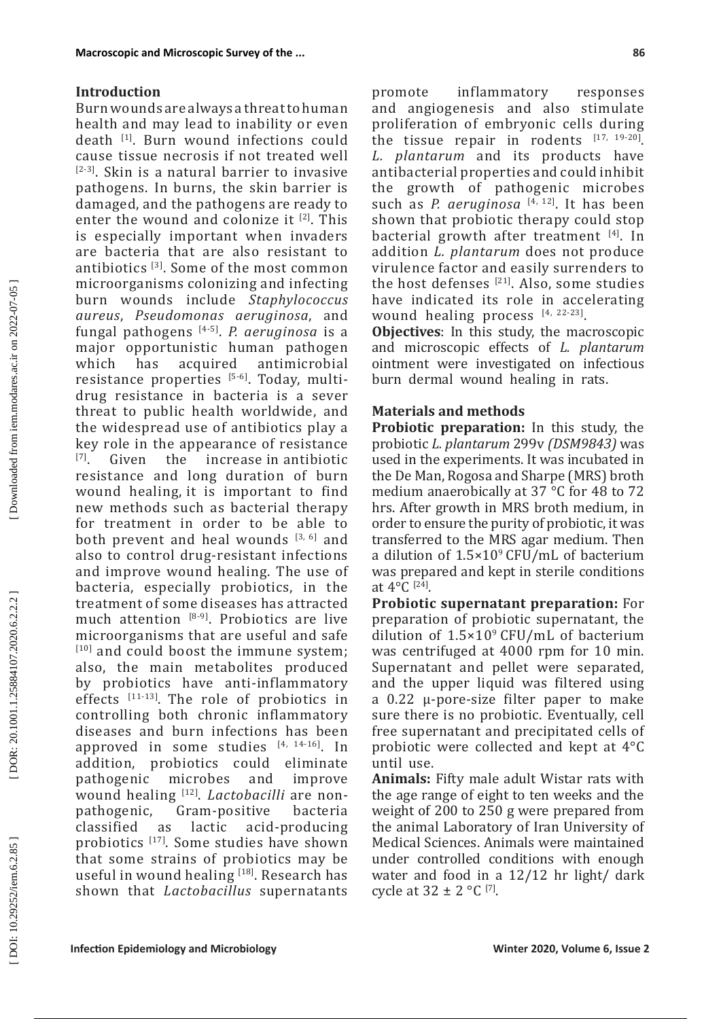### **Introduction**

Burn wounds are always a threat to human health and may lead to inability or even death [1]. Burn wound infections could cause tissue necrosis if not treated well [2-3]. Skin is a natural barrier to invasive pathogens. In burns, the skin barrier is damaged, and the pathogens are ready to enter the wound and colonize it  $[2]$ . This is especially important when invaders are bacteria that are also resistant to antibiotics [3]. Some of the most common microorganisms colonizing and infecting burn wounds include *Staphylococcus aureus*, *Pseudomonas aeruginosa*, and fungal pathogens [4-5]. *P. aeruginosa* is a major opportunistic human pathogen<br>which has acquired antimicrobial which has acquired antimicrobial resistance properties [5-6]. Today, multidrug resistance in bacteria is a sever threat to public health worldwide, and the widespread use of antibiotics play a key role in the appearance of resistance  $[7]$ . Given the increase in antibiotic the increase in antibiotic resistance and long duration of burn wound healing, it is important to find new methods such as bacterial therapy for treatment in order to be able to both prevent and heal wounds [3, 6] and also to control drug-resistant infections and improve wound healing. The use of bacteria, especially probiotics, in the treatment of some diseases has attracted much attention  $[8-9]$ . Probiotics are live microorganisms that are useful and safe [10] and could boost the immune system; also, the main metabolites produced by probiotics have anti-inflammatory effects  $\left[11^{-13}\right]$ . The role of probiotics in controlling both chronic inflammatory diseases and burn infections has been approved in some studies  $[4, 14-16]$ . In addition, probiotics could eliminate probiotics could eliminate<br>c microbes and improve pathogenic wound healing <sup>[12]</sup>. *Lactobacilli* are non-<br>pathogenic, Gram-positive bacteria pathogenic, Gram-positive<br>classified as lactic acid acid-producing probiotics [17]. Some studies have shown that some strains of probiotics may be useful in wound healing [18]. Research has shown that *Lactobacillus* supernatants

**86**

promote inflammatory responses and angiogenesis and also stimulate proliferation of embryonic cells during the tissue repair in rodents [17, 19-20]. *L. plantarum* and its products have antibacterial properties and could inhibit growth of pathogenic microbes such as *P. aeruginosa* [4, 12] . It has been shown that probiotic therapy could stop bacterial growth after treatment [4]. In addition *L. plantarum* does not produce virulence factor and easily surrenders to the host defenses  $[21]$ . Also, some studies have indicated its role in accelerating wound healing process [4, 22-23].

**Objectives**: In this study, the macroscopic and microscopic effects of *L. plantarum* ointment were investigated on infectious burn dermal wound healing in rats.

### **Materials and methods**

**Probiotic preparation:** In this study, the probiotic *L. plantarum* 299v *(DSM9843)* was used in the experiments. It was incubated in the De Man, Rogosa and Sharpe (MRS) broth medium anaerobically at 37 °C for 48 to 72 hrs. After growth in MRS broth medium, in order to ensure the purity of probiotic, it was transferred to the MRS agar medium. Then a dilution of  $1.5 \times 10^9$  CFU/mL of bacterium was prepared and kept in sterile conditions at  $4^{\circ}$ C [24].

**Probiotic supernatant preparation:** For preparation of probiotic supernatant, the dilution of  $1.5 \times 10^9$  CFU/mL of bacterium was centrifuged at 4000 rpm for 10 min. Supernatant and pellet were separated, and the upper liquid was filtered using a 0.22 μ-pore-size filter paper to make sure there is no probiotic. Eventually, cell free supernatant and precipitated cells of probiotic were collected and kept at 4°C until use.

**Animals:** Fifty male adult Wistar rats with the age range of eight to ten weeks and the weight of 200 to 250 g were prepared from the animal Laboratory of Iran University of Medical Sciences. Animals were maintained under controlled conditions with enough water and food in a 12/12 hr light/ dark cycle at  $32 \pm 2$  °C [7].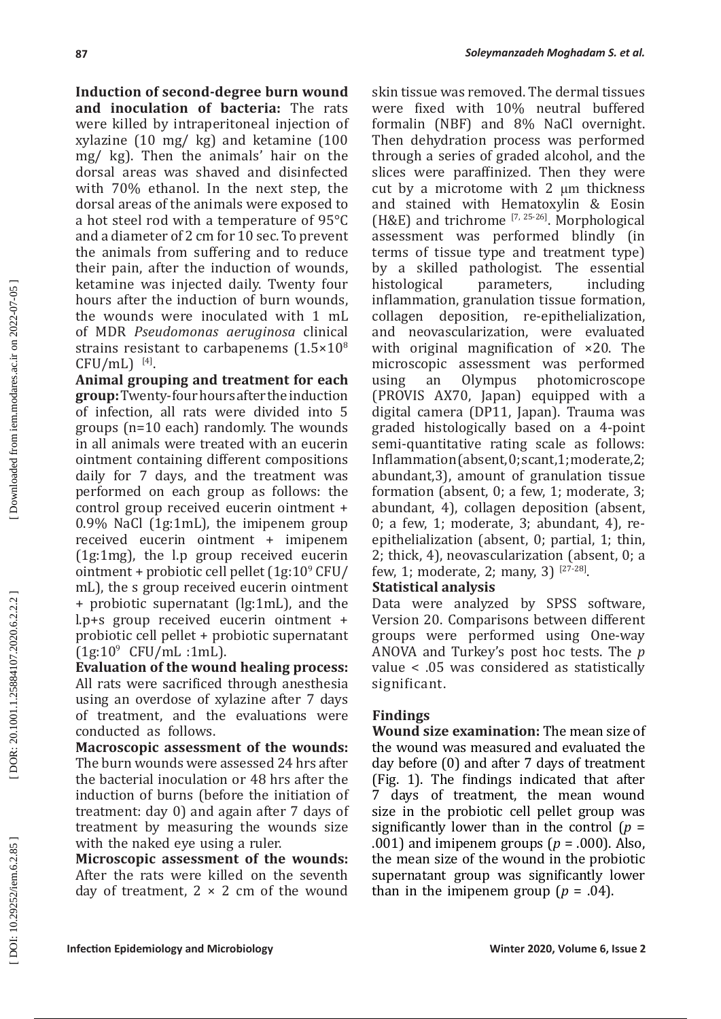**Induction of second-degree burn wound and inoculation of bacteria:** The rats were killed by intraperitoneal injection of xylazine (10 mg/ kg) and ketamine (100 mg/ kg). Then the animals' hair on the dorsal areas was shaved and disinfected with 70% ethanol. In the next step, the dorsal areas of the animals were exposed to a hot steel rod with a temperature of 95°C and a diameter of 2 cm for 10 sec. To prevent the animals from suffering and to reduce their pain, after the induction of wounds, ketamine was injected daily. Twenty four hours after the induction of burn wounds, the wounds were inoculated with 1 mL of MDR *Pseudomonas aeruginosa* clinical strains resistant to carbapenems (1.5×10 8  $CFU/mL$ )<sup>[4]</sup>.

**Animal grouping and treatment for each group:** Twenty-four hours after the induction of infection, all rats were divided into 5 groups (n=10 each) randomly. The wounds in all animals were treated with an eucerin ointment containing different compositions daily for 7 days, and the treatment was performed on each group as follows: the control group received eucerin ointment + 0.9% NaCl (1g:1mL), the imipenem group received eucerin ointment + imipenem (1g:1mg), the l.p group received eucerin ointment + probiotic cell pellet (1g:10<sup>9</sup> CFU/ mL), the s group received eucerin ointment + probiotic supernatant (lg:1mL), and the l.p+s group received eucerin ointment + probiotic cell pellet + probiotic supernatant  $(1g:10^9 \text{ CFU/mL}:1mL).$ 

**Evaluation of the wound healing process:**  All rats were sacrificed through anesthesia using an overdose of xylazine after 7 days of treatment, and the evaluations were conducted as follows.

**Macroscopic assessment of the wounds:** The burn wounds were assessed 24 hrs after the bacterial inoculation or 48 hrs after the induction of burns (before the initiation of treatment: day 0) and again after 7 days of treatment by measuring the wounds size with the naked eye using a ruler.

**Microscopic assessment of the wounds:** After the rats were killed on the seventh day of treatment,  $2 \times 2$  cm of the wound

skin tissue was removed. The dermal tissues were fixed with 10% neutral buffered formalin (NBF) and 8% NaCl overnight. Then dehydration process was performed through a series of graded alcohol, and the slices were paraffinized. Then they were cut by a microtome with 2 μm thickness and stained with Hematoxylin & Eosin (H&E) and trichrome  $[7, 25-26]$ . Morphological assessment was performed blindly (in terms of tissue type and treatment type) by a skilled pathologist. The essential parameters, inflammation, granulation tissue formation, collagen deposition, re-epithelialization, and neovascularization, were evaluated with original magnification of ×20. The microscopic assessment was performed<br>using an Olympus photomicroscope photomicroscope (PROVIS AX70, Japan) equipped with a digital camera (DP11, Japan). Trauma was graded histologically based on a 4-point semi-quantitative rating scale as follows: Inflammation (absent, 0; scant,1; moderate,2; abundant,3), amount of granulation tissue formation (absent, 0; a few, 1; moderate, 3; abundant, 4), collagen deposition (absent, 0; a few, 1; moderate, 3; abundant, 4), reepithelialization (absent, 0; partial, 1; thin, 2; thick, 4), neovascularization (absent, 0; a few, 1; moderate, 2; many, 3)  $1^{27-28}$ .

## **Statistical analysis**

Data were analyzed by SPSS software, Version 20. Comparisons between different groups were performed using One-way ANOVA and Turkey's post hoc tests. The *p*  value < .05 was considered as statistically significant.

## **Findings**

**Wound size examination:** The mean size of the wound was measured and evaluated the day before (0) and after 7 days of treatment (Fig. 1). The findings indicated that after<br>7 days of treatment, the mean wound days of treatment, the mean wound size in the probiotic cell pellet group was significantly lower than in the control (*p* = .001) and imipenem groups ( *p* = .000). Also, the mean size of the wound in the probiotic supernatant group was significantly lower than in the imipenem group  $(p = .04)$ .

Downloaded from iem.modares.ac.ir on 2022-07-05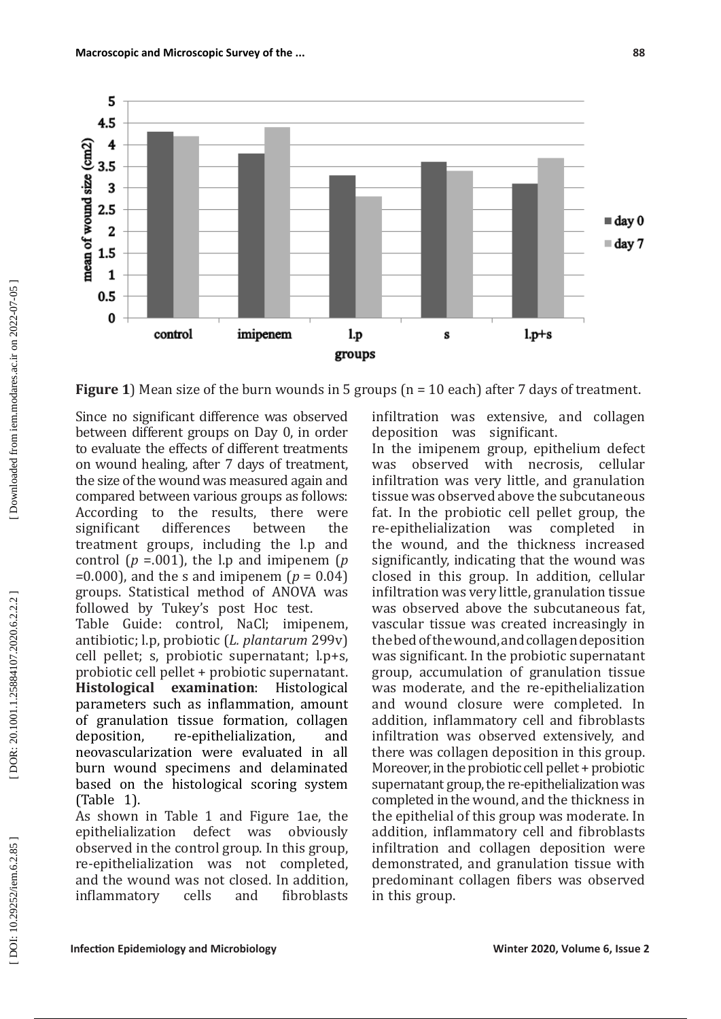

**Figure 1**) Mean size of the burn wounds in 5 groups (n = 10 each) after 7 days of treatment.

Since no significant difference was observed between different groups on Day 0, in order to evaluate the effects of different treatments on wound healing, after 7 days of treatment, the size of the wound was measured again and compared between various groups as follows:<br>According to the results, there were According to the results, there were<br>significant differences between the differences treatment groups, including the l.p and control ( $p = 001$ ), the l.p and imipenem ( $p$ =0.000), and the s and imipenem ( *p* = 0.04) groups. Statistical method of ANOVA was followed by Tukey's post Hoc test.

Table Guide: control, NaCl; imipenem, antibiotic; l.p, probiotic (*L. plantarum* 299v) cell pellet; s, probiotic supernatant; l.p+s, probiotic cell pellet + probiotic supernatant.<br>**Histological examination**: Histological **examination:** parameters such as inflammation, amount of granulation tissue formation, collagen<br>deposition. re-epithelialization. and re-epithelialization. neovascularization were evaluated in all burn wound specimens and delaminated based on the histological scoring system (Table 1).

As shown in Table 1 and Figure 1ae, the epithelialization defect was obviously epithelialization observed in the control group. In this group, re-epithelialization was not completed, and the wound was not closed. In addition,<br>inflammatory cells and fibroblasts inflammatory

infiltration was extensive, and collagen<br>deposition was significant. deposition was

In the imipenem group, epithelium defect<br>was observed with necrosis, cellular necrosis, infiltration was very little, and granulation tissue was observed above the subcutaneous fat. In the probiotic cell pellet group, the re-epithelialization was completed in re-epithelialization the wound, and the thickness increased significantly, indicating that the wound was closed in this group. In addition, cellular infiltration was very little, granulation tissue was observed above the subcutaneous fat, vascular tissue was created increasingly in the bed of the wound, and collagen deposition was significant. In the probiotic supernatant group, accumulation of granulation tissue was moderate, and the re-epithelialization and wound closure were completed. In addition, inflammatory cell and fibroblasts infiltration was observed extensively, and there was collagen deposition in this group. Moreover, in the probiotic cell pellet + probiotic supernatant group, the re-epithelialization was completed in the wound, and the thickness in the epithelial of this group was moderate. In addition, inflammatory cell and fibroblasts infiltration and collagen deposition were demonstrated, and granulation tissue with predominant collagen fibers was observed in this group.

DOR: 20.1001.1.25884107.2020.6.2.2.2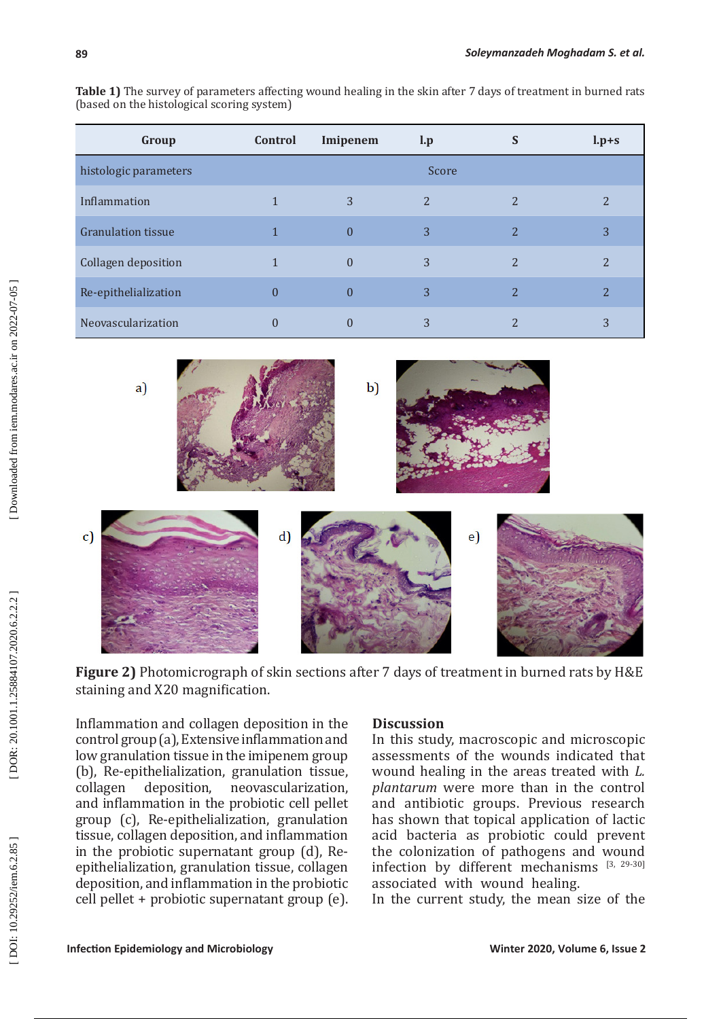**Table 1)** The survey of parameters affecting wound healing in the skin after 7 days of treatment in burned rats (based on the histological scoring system)

| Group                     | Control | Imipenem       | $\mathbf{l}.\mathbf{p}$ | S              | $l.p+s$ |
|---------------------------|---------|----------------|-------------------------|----------------|---------|
| histologic parameters     | Score   |                |                         |                |         |
| Inflammation              |         | 3              | $\overline{2}$          | 2              |         |
| <b>Granulation tissue</b> |         | 0              | 3                       | 2              | 3       |
| Collagen deposition       |         | $\theta$       | 3                       | 2              |         |
| Re-epithelialization      |         | $\overline{0}$ | 3                       | $\overline{2}$ | 2       |
| Neovascularization        |         |                | 3                       |                |         |



**Figure 2)** Photomicrograph of skin sections after 7 days of treatment in burned rats by H&E staining and X20 magnification.

Inflammation and collagen deposition in the control group (a), Extensive inflammation and low granulation tissue in the imipenem group (b), Re-epithelialization, granulation tissue,<br>collagen deposition, neovascularization, neovascularization, and inflammation in the probiotic cell pellet group (c), Re-epithelialization, granulation tissue, collagen deposition, and inflammation in the probiotic supernatant group (d), Reepithelialization, granulation tissue, collagen deposition, and inflammation in the probiotic cell pellet + probiotic supernatant group (e).

### **Discussion**

In this study, macroscopic and microscopic assessments of the wounds indicated that wound healing in the areas treated with *L. plantarum* were more than in the control and antibiotic groups. Previous research has shown that topical application of lactic acid bacteria as probiotic could prevent the colonization of pathogens and wound infection by different mechanisms [3, 29-30] associated with wound healing.

In the current study, the mean size of the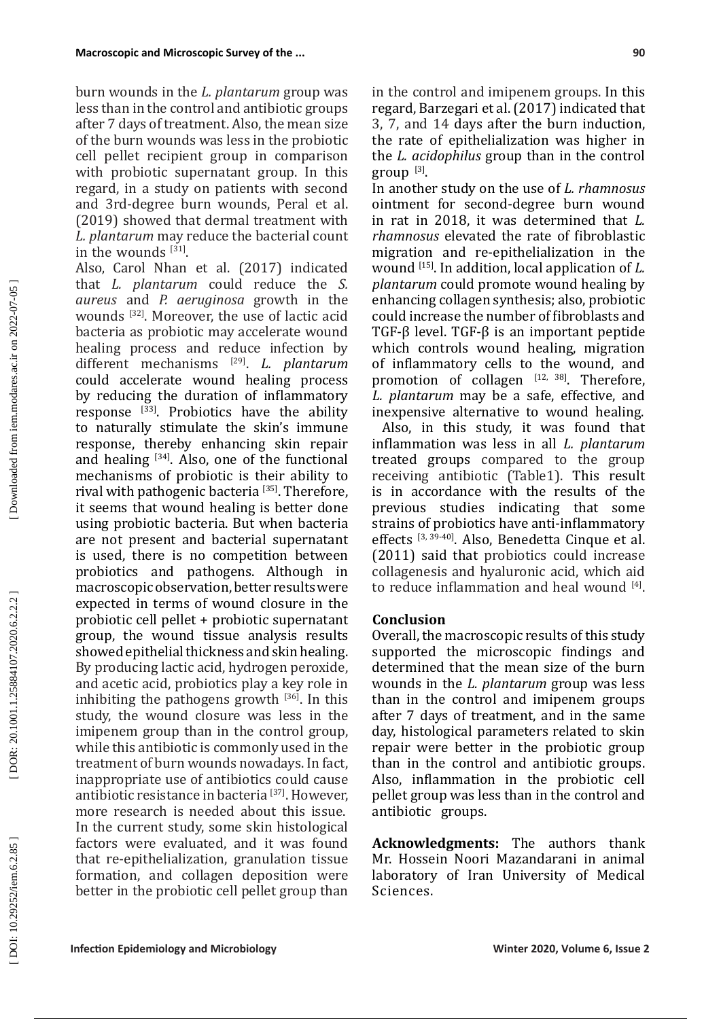burn wounds in the *L. plantarum* group was less than in the control and antibiotic groups after 7 days of treatment. Also, the mean size of the burn wounds was less in the probiotic cell pellet recipient group in comparison with probiotic supernatant group. In this regard, in a study on patients with second and 3rd-degree burn wounds, Peral et al. (2019) showed that dermal treatment with *L. plantarum* may reduce the bacterial count in the wounds  $^{[31]}$ .

Also, Carol Nhan et al. (2017) indicated that *L. plantarum* could reduce the *S. aureus* and *P. aeruginosa* growth in the wounds [32]. Moreover, the use of lactic acid bacteria as probiotic may accelerate wound healing process and reduce infection by different mechanisms [29]. *L. plantarum* could accelerate wound healing process by reducing the duration of inflammatory response [33]. Probiotics have the ability to naturally stimulate the skin's immune response, thereby enhancing skin repair and healing  $^{[34]}$ . Also, one of the functional mechanisms of probiotic is their ability to rival with pathogenic bacteria [35]. Therefore, it seems that wound healing is better done using probiotic bacteria. But when bacteria are not present and bacterial supernatant is used, there is no competition between probiotics and pathogens. Although in macroscopic observation, better results were expected in terms of wound closure in the probiotic cell pellet + probiotic supernatant group, the wound tissue analysis results showed epithelial thickness and skin healing. By producing lactic acid, hydrogen peroxide, and acetic acid, probiotics play a key role in inhibiting the pathogens growth  $[36]$ . In this study, the wound closure was less in the imipenem group than in the control group, while this antibiotic is commonly used in the treatment of burn wounds nowadays. In fact, inappropriate use of antibiotics could cause antibiotic resistance in bacteria [37]. However, more research is needed about this issue. In the current study, some skin histological factors were evaluated, and it was found that re-epithelialization, granulation tissue formation, and collagen deposition were better in the probiotic cell pellet group than

in the control and imipenem groups. In this regard, Barzegari et al. (2017) indicated that 3, 7, and 14 days after the burn induction, the rate of epithelialization was higher in the *L. acidophilus* group than in the control group [3].

In another study on the use of *L. rhamnosus*  ointment for second-degree burn wound in rat in 2018, it was determined that *L. rhamnosus* elevated the rate of fibroblastic migration and re-epithelialization in the wound [15] . In addition, local application of *L. plantarum* could promote wound healing by enhancing collagen synthesis; also, probiotic could increase the number of fibroblasts and TGF-β level. TGF-β is an important peptide which controls wound healing, migration of inflammatory cells to the wound, and promotion of collagen  $[12, 38]$ . Therefore, *L. plantarum* may be a safe, effective, and inexpensive alternative to wound healing.

 Also, in this study, it was found that inflammation was less in all *L. plantarum* treated groups compared to the group receiving antibiotic (Table1). This result is in accordance with the results of the previous studies indicating that some strains of probiotics have anti-inflammatory effects [3, 39-40]. Also, Benedetta Cinque et al. (2011) said that probiotics could increase collagenesis and hyaluronic acid, which aid to reduce inflammation and heal wound  $[4]$ .

## **Conclusion**

Overall, the macroscopic results of this study supported the microscopic findings and determined that the mean size of the burn wounds in the *L. plantarum* group was less than in the control and imipenem groups after 7 days of treatment, and in the same day, histological parameters related to skin repair were better in the probiotic group than in the control and antibiotic groups. Also, inflammation in the probiotic cell pellet group was less than in the control and antibiotic groups.

**Acknowledgments:** The authors thank Mr. Hossein Noori Mazandarani in animal laboratory of Iran University of Medical Sciences.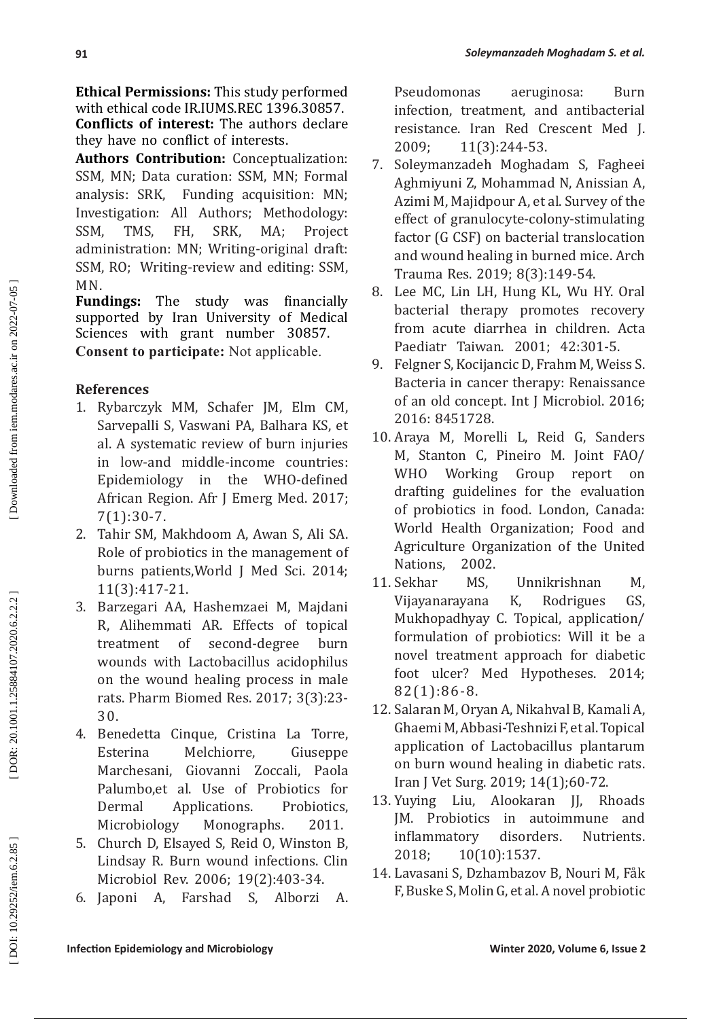**Ethical Permissions:** This study performed with ethical code IR.IUMS.REC 1396.30857. **Conflicts of interest:** The authors declare they have no conflict of interests.

**Authors Contribution:** Conceptualization: SSM, MN; Data curation: SSM, MN; Formal analysis: SRK, Funding acquisition: MN; Investigation: All Authors; Methodology:<br>SSM, TMS, FH, SRK, MA; Project SSM, TMS, FH, SRK, MA; Project administration: MN; Writing-original draft: SSM, RO; Writing-review and editing: SSM,

MN.<br>**Fundings: Fundings:** The study was financially supported by Iran University of Medical Sciences with grant number 30857. **Consent to participate:** Not applicable.

# **References**

- 1. Rybarczyk MM, Schafer JM, Elm CM, Sarvepalli S, Vaswani PA, Balhara KS, et al. A systematic review of burn injuries in low-and middle-income countries: Epidemiology in the WHO-defined African Region. Afr J Emerg Med. 2017; 7(1):30-7.
- 2. Tahir SM, Makhdoom A, Awan S, Ali SA. Role of probiotics in the management of burns patients,World J Med Sci. 2014; 11(3):417-21.
- 3. Barzegari AA, Hashemzaei M, Majdani R, Alihemmati AR. Effects of topical treatment of second-degree burn wounds with Lactobacillus acidophilus on the wound healing process in male rats. Pharm Biomed Res. 2017; 3(3):23- 30.
- 4. Benedetta Cinque, Cristina La Torre, Esterina Melchiorre, Giuseppe Marchesani, Giovanni Zoccali, Paola Palumbo,et al. Use of Probiotics for Dermal Applications. Probiotics, Microbiology Monographs. 2011.
- 5. Church D, Elsayed S, Reid O, Winston B, Lindsay R. Burn wound infections. Clin Microbiol Rev. 2006; 19(2):403-34.
- 6. Japoni A, Farshad S, Alborzi A.

Pseudomonas aeruginosa: Burn infection, treatment, and antibacterial resistance. Iran Red Crescent Med J. 2009; 11(3):244-53.

- 7. Soleymanzadeh Moghadam S, Fagheei Aghmiyuni Z, Mohammad N, Anissian A, Azimi M, Majidpour A, et al. Survey of the effect of granulocyte -colony -stimulating factor (G CSF) on bacterial translocation and wound healing in burned mice. Arch Trauma Res. 2019; 8(3):149-54.
- 8. Lee MC, Lin LH, Hung KL, Wu HY. Oral bacterial therapy promotes recovery from acute diarrhea in children. Acta Paediatr Taiwan. 2001; 42:301-5.
- 9. Felgner S, Kocijancic D, Frahm M, Weiss S. Bacteria in cancer therapy: Renaissance of an old concept. Int J Microbiol. 2016; 2016: 8451728.
- 10. Araya M, Morelli L, Reid G, Sanders M, Stanton C, Pineiro M. Joint FAO/ WHO Working Group report on drafting guidelines for the evaluation of probiotics in food. London, Canada: World Health Organization; Food and Agriculture Organization of the United<br>Nations. 2002.
- Nations, 2002<br>11. Sekhar MS. Unnikrishnan M, Vijayanarayana K, Rodrigues GS, Mukhopadhyay C. Topical, application/ formulation of probiotics: Will it be a novel treatment approach for diabetic foot ulcer? Med Hypotheses. 2014; 82(1):86-8.
- 12. Salaran M, Oryan A, Nikahval B, Kamali A, Ghaemi M, Abbasi-Teshnizi F, et al. Topical application of Lactobacillus plantarum on burn wound healing in diabetic rats. Iran J Vet Surg. 2019; 14(1);60-72.
- 13. Yuying Liu, Alookaran JJ, Rhoads JM. Probiotics in autoimmune and inflammatory disorders. Nutrients. 2018; 10(10):1537.
- 14. Lavasani S, Dzhambazov B, Nouri M, Fåk F, Buske S, Molin G, et al. A novel probiotic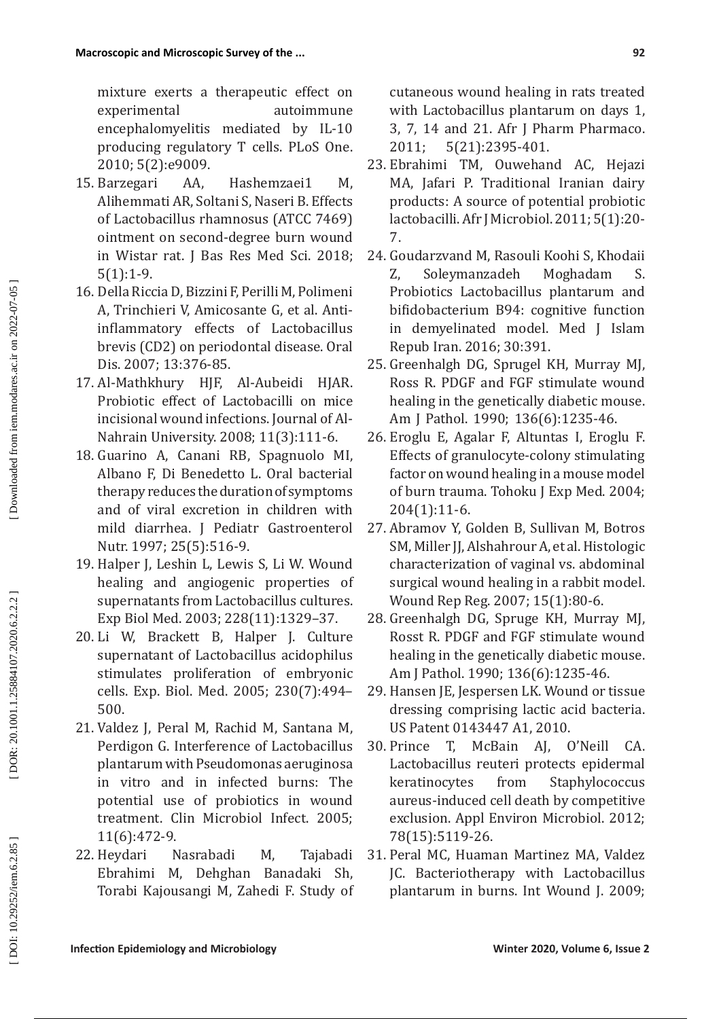mixture exerts a therapeutic effect on experimental autoimmune encephalomyelitis mediated by IL-10 producing regulatory T cells. PLoS One. 2010; 5(2):e9009.

- 15. Barzegari AA, Hashemzaei1 M, Alihemmati AR, Soltani S, Naseri B. Effects of Lactobacillus rhamnosus (ATCC 7469) ointment on second-degree burn wound in Wistar rat. J Bas Res Med Sci. 2018; 5(1):1-9.
- 16. Della Riccia D, Bizzini F, Perilli M, Polimeni A, Trinchieri V, Amicosante G, et al. Anti inflammatory effects of Lactobacillus brevis (CD2) on periodontal disease. Oral Dis. 2007; 13:376-85.
- 17. Al-Mathkhury HJF, Al-Aubeidi HJAR. Probiotic effect of Lactobacilli on mice incisional wound infections. Journal of Al-Nahrain University. 2008; 11(3):111-6.
- 18. Guarino A, Canani RB, Spagnuolo MI, Albano F, Di Benedetto L. Oral bacterial therapy reduces the duration of symptoms and of viral excretion in children with mild diarrhea. J Pediatr Gastroenterol Nutr. 1997; 25(5):516-9.
- 19. Halper J, Leshin L, Lewis S, Li W. Wound healing and angiogenic properties of supernatants from Lactobacillus cultures. Exp Biol Med. 2003; 228(11):1329–37.
- 20. Li W, Brackett B, Halper J. Culture supernatant of Lactobacillus acidophilus stimulates proliferation of embryonic cells. Exp. Biol. Med. 2005; 230(7):494– 500.
- 21. Valdez J, Peral M, Rachid M, Santana M, Perdigon G. Interference of Lactobacillus plantarum with Pseudomonas aeruginosa in vitro and in infected burns: The potential use of probiotics in wound treatment. Clin Microbiol Infect. 2005; 11(6):472-9.
- 22. Heydari Nasrabadi M, Tajabadi Ebrahimi M, Dehghan Banadaki Sh, Torabi Kajousangi M, Zahedi F. Study of

cutaneous wound healing in rats treated with Lactobacillus plantarum on days 1, 3, 7, 14 and 21. Afr J Pharm Pharmaco. 2011; 5(21):2395-401.

- 23. Ebrahimi TM, Ouwehand AC, Hejazi MA, Jafari P. Traditional Iranian dairy products: A source of potential probiotic lactobacilli. Afr J Microbiol. 2011; 5(1):20- 7.
- 24. Goudarzvand M, Rasouli Koohi S, Khodaii Z, Soleymanzadeh Probiotics Lactobacillus plantarum and bifidobacterium B94: cognitive function in demyelinated model. Med J Islam Repub Iran. 2016; 30:391.
- 25. Greenhalgh DG, Sprugel KH, Murray MJ, Ross R. PDGF and FGF stimulate wound healing in the genetically diabetic mouse. Am J Pathol. 1990; 136(6):1235-46.
- 26. Eroglu E, Agalar F, Altuntas I, Eroglu F. Effects of granulocyte-colony stimulating factor on wound healing in a mouse model of burn trauma. Tohoku J Exp Med. 2004; 204(1):11-6.
- 27. Abramov Y, Golden B, Sullivan M, Botros SM, Miller JJ, Alshahrour A, et al. Histologic characterization of vaginal vs. abdominal surgical wound healing in a rabbit model. Wound Rep Reg. 2007; 15(1):80-6.
- 28. Greenhalgh DG, Spruge KH, Murray MJ, Rosst R. PDGF and FGF stimulate wound healing in the genetically diabetic mouse. Am J Pathol. 1990; 136(6):1235-46.
- 29. Hansen JE, Jespersen LK. Wound or tissue dressing comprising lactic acid bacteria. US Patent 0143447 A1, 2010.
- 30. Prince T, McBain AJ, O'Neill CA. Lactobacillus reuteri protects epidermal keratinocytes from Staphylococcus aureus-induced cell death by competitive exclusion. Appl Environ Microbiol. 2012; 78(15):5119-26.
- 31. Peral MC, Huaman Martinez MA, Valdez JC. Bacteriotherapy with Lactobacillus plantarum in burns. Int Wound J. 2009;